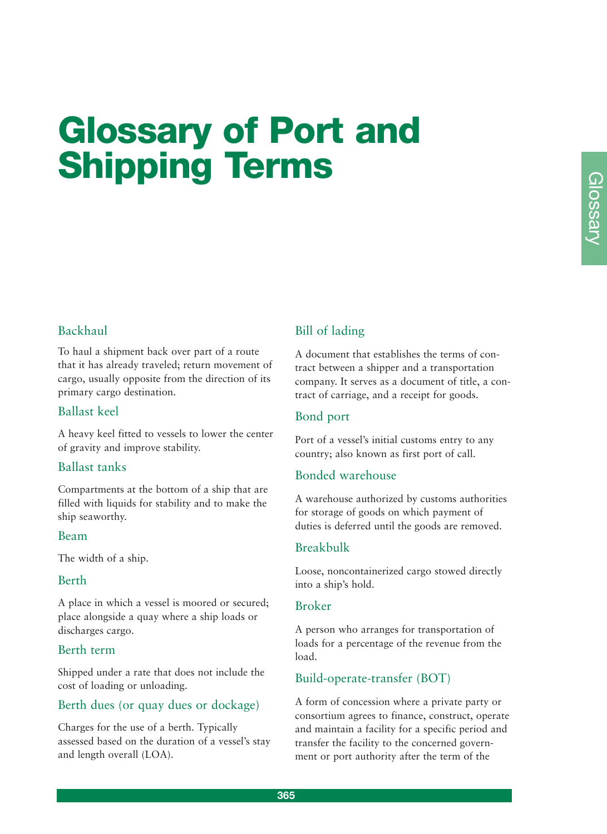# **Glossary of Port and Shipping Terms**

## Backhaul

To haul a shipment back over part of a route that it has already traveled; return movement of cargo, usually opposite from the direction of its primary cargo destination.

#### Ballast keel

A heavy keel fitted to vessels to lower the center of gravity and improve stability.

#### Ballast tanks

Compartments at the bottom of a ship that are filled with liquids for stability and to make the ship seaworthy.

#### Beam

The width of a ship.

#### Berth

A place in which a vessel is moored or secured; place alongside a quay where a ship loads or discharges cargo.

#### Berth term

Shipped under a rate that does not include the cost of loading or unloading.

#### Berth dues (or quay dues or dockage)

Charges for the use of a berth. Typically assessed based on the duration of a vessel's stay and length overall (LOA).

# Bill of lading

A document that establishes the terms of contract between a shipper and a transportation company. It serves as a document of title, a contract of carriage, and a receipt for goods.

#### Bond port

Port of a vessel's initial customs entry to any country; also known as first port of call.

## Bonded warehouse

A warehouse authorized by customs authorities for storage of goods on which payment of duties is deferred until the goods are removed.

## Breakbulk

Loose, noncontainerized cargo stowed directly into a ship's hold.

#### Broker

A person who arranges for transportation of loads for a percentage of the revenue from the load.

## Build-operate-transfer (BOT)

A form of concession where a private party or consortium agrees to finance, construct, operate and maintain a facility for a specific period and transfer the facility to the concerned government or port authority after the term of the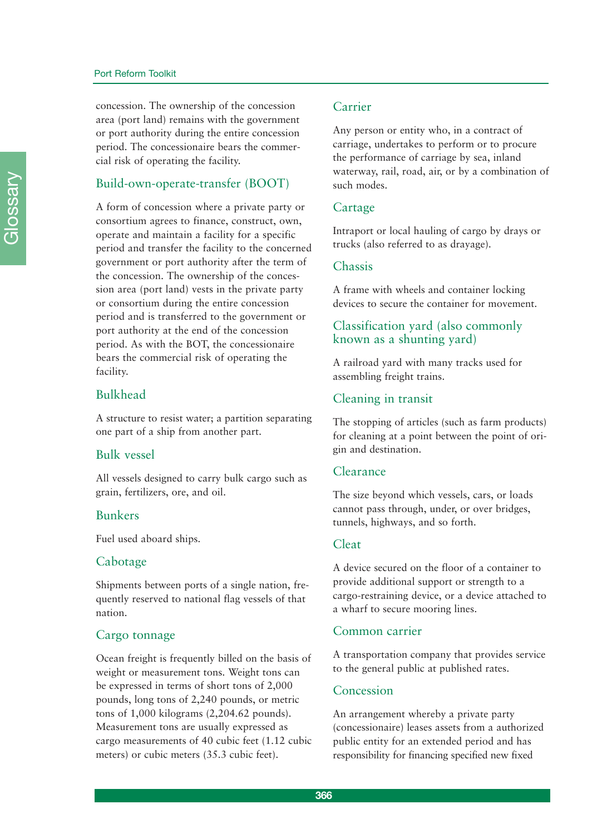#### Port Reform Toolkit

concession. The ownership of the concession area (port land) remains with the government or port authority during the entire concession period. The concessionaire bears the commercial risk of operating the facility.

#### Build-own-operate-transfer (BOOT)

A form of concession where a private party or consortium agrees to finance, construct, own, operate and maintain a facility for a specific period and transfer the facility to the concerned government or port authority after the term of the concession. The ownership of the concession area (port land) vests in the private party or consortium during the entire concession period and is transferred to the government or port authority at the end of the concession period. As with the BOT, the concessionaire bears the commercial risk of operating the facility.

## Bulkhead

A structure to resist water; a partition separating one part of a ship from another part.

#### Bulk vessel

All vessels designed to carry bulk cargo such as grain, fertilizers, ore, and oil.

#### Bunkers

Fuel used aboard ships.

#### Cabotage

Shipments between ports of a single nation, frequently reserved to national flag vessels of that nation.

#### Cargo tonnage

Ocean freight is frequently billed on the basis of weight or measurement tons. Weight tons can be expressed in terms of short tons of 2,000 pounds, long tons of 2,240 pounds, or metric tons of 1,000 kilograms (2,204.62 pounds). Measurement tons are usually expressed as cargo measurements of 40 cubic feet (1.12 cubic meters) or cubic meters (35.3 cubic feet).

#### Carrier

Any person or entity who, in a contract of carriage, undertakes to perform or to procure the performance of carriage by sea, inland waterway, rail, road, air, or by a combination of such modes.

#### **Cartage**

Intraport or local hauling of cargo by drays or trucks (also referred to as drayage).

#### Chassis

A frame with wheels and container locking devices to secure the container for movement.

#### Classification yard (also commonly known as a shunting yard)

A railroad yard with many tracks used for assembling freight trains.

#### Cleaning in transit

The stopping of articles (such as farm products) for cleaning at a point between the point of origin and destination.

#### Clearance

The size beyond which vessels, cars, or loads cannot pass through, under, or over bridges, tunnels, highways, and so forth.

#### Cleat

A device secured on the floor of a container to provide additional support or strength to a cargo-restraining device, or a device attached to a wharf to secure mooring lines.

#### Common carrier

A transportation company that provides service to the general public at published rates.

#### Concession

An arrangement whereby a private party (concessionaire) leases assets from a authorized public entity for an extended period and has responsibility for financing specified new fixed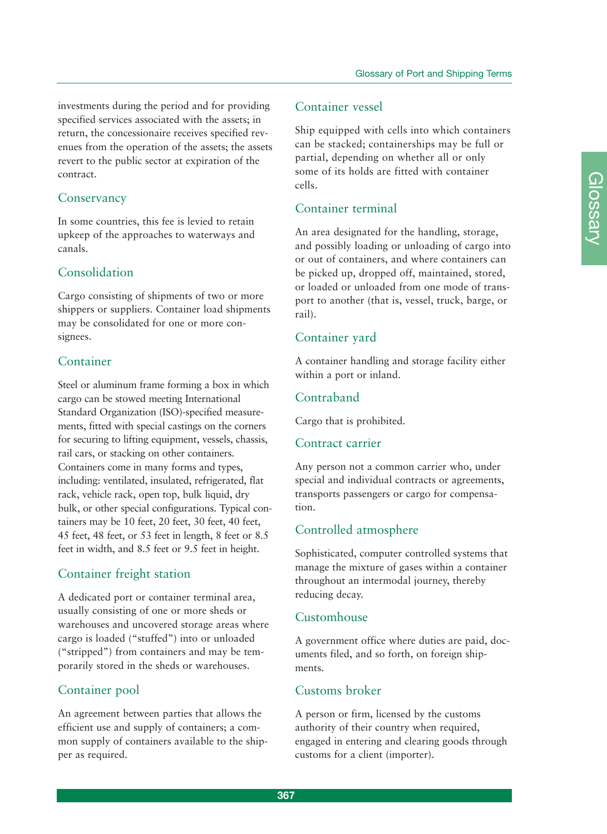investments during the period and for providing specified services associated with the assets; in return, the concessionaire receives specified revenues from the operation of the assets; the assets revert to the public sector at expiration of the contract.

#### **Conservancy**

In some countries, this fee is levied to retain upkeep of the approaches to waterways and canals.

## Consolidation

Cargo consisting of shipments of two or more shippers or suppliers. Container load shipments may be consolidated for one or more consignees.

## Container

Steel or aluminum frame forming a box in which cargo can be stowed meeting International Standard Organization (ISO)-specified measurements, fitted with special castings on the corners for securing to lifting equipment, vessels, chassis, rail cars, or stacking on other containers. Containers come in many forms and types, including: ventilated, insulated, refrigerated, flat rack, vehicle rack, open top, bulk liquid, dry bulk, or other special configurations. Typical containers may be 10 feet, 20 feet, 30 feet, 40 feet, 45 feet, 48 feet, or 53 feet in length, 8 feet or 8.5 feet in width, and 8.5 feet or 9.5 feet in height.

## Container freight station

A dedicated port or container terminal area, usually consisting of one or more sheds or warehouses and uncovered storage areas where cargo is loaded ("stuffed") into or unloaded ("stripped") from containers and may be temporarily stored in the sheds or warehouses.

# Container pool

An agreement between parties that allows the efficient use and supply of containers; a common supply of containers available to the shipper as required.

## Container vessel

Ship equipped with cells into which containers can be stacked; containerships may be full or partial, depending on whether all or only some of its holds are fitted with container cells.

## Container terminal

An area designated for the handling, storage, and possibly loading or unloading of cargo into or out of containers, and where containers can be picked up, dropped off, maintained, stored, or loaded or unloaded from one mode of transport to another (that is, vessel, truck, barge, or rail).

#### Container yard

A container handling and storage facility either within a port or inland.

#### Contraband

Cargo that is prohibited.

#### Contract carrier

Any person not a common carrier who, under special and individual contracts or agreements, transports passengers or cargo for compensation.

## Controlled atmosphere

Sophisticated, computer controlled systems that manage the mixture of gases within a container throughout an intermodal journey, thereby reducing decay.

#### Customhouse

A government office where duties are paid, documents filed, and so forth, on foreign shipments.

#### Customs broker

A person or firm, licensed by the customs authority of their country when required, engaged in entering and clearing goods through customs for a client (importer).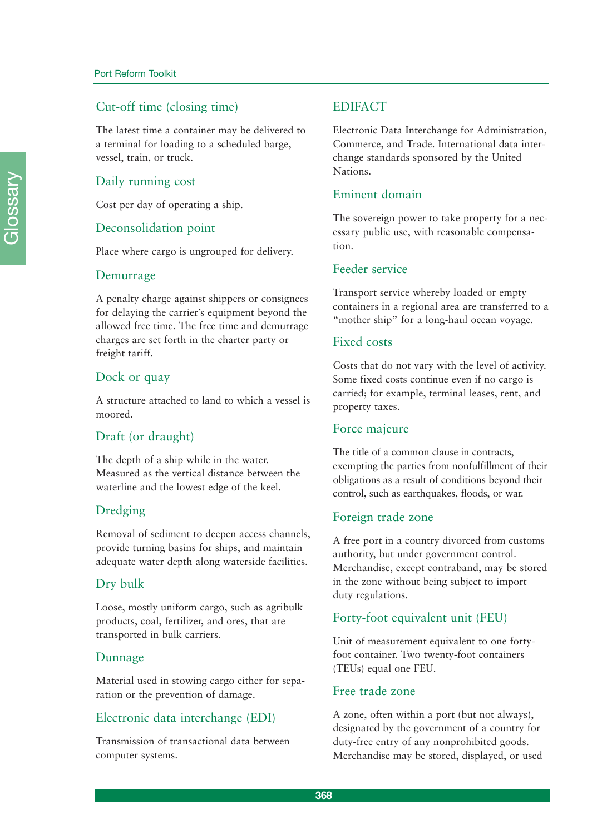#### Port Reform Toolkit

#### Cut-off time (closing time)

The latest time a container may be delivered to a terminal for loading to a scheduled barge, vessel, train, or truck.

#### Daily running cost

Cost per day of operating a ship.

#### Deconsolidation point

Place where cargo is ungrouped for delivery.

#### Demurrage

A penalty charge against shippers or consignees for delaying the carrier's equipment beyond the allowed free time. The free time and demurrage charges are set forth in the charter party or freight tariff.

## Dock or quay

A structure attached to land to which a vessel is moored.

## Draft (or draught)

The depth of a ship while in the water. Measured as the vertical distance between the waterline and the lowest edge of the keel.

## Dredging

Removal of sediment to deepen access channels, provide turning basins for ships, and maintain adequate water depth along waterside facilities.

## Dry bulk

Loose, mostly uniform cargo, such as agribulk products, coal, fertilizer, and ores, that are transported in bulk carriers.

#### Dunnage

Material used in stowing cargo either for separation or the prevention of damage.

## Electronic data interchange (EDI)

Transmission of transactional data between computer systems.

## EDIFACT

Electronic Data Interchange for Administration, Commerce, and Trade. International data interchange standards sponsored by the United Nations.

## Eminent domain

The sovereign power to take property for a necessary public use, with reasonable compensation.

#### Feeder service

Transport service whereby loaded or empty containers in a regional area are transferred to a "mother ship" for a long-haul ocean voyage.

## Fixed costs

Costs that do not vary with the level of activity. Some fixed costs continue even if no cargo is carried; for example, terminal leases, rent, and property taxes.

#### Force majeure

The title of a common clause in contracts, exempting the parties from nonfulfillment of their obligations as a result of conditions beyond their control, such as earthquakes, floods, or war.

#### Foreign trade zone

A free port in a country divorced from customs authority, but under government control. Merchandise, except contraband, may be stored in the zone without being subject to import duty regulations.

## Forty-foot equivalent unit (FEU)

Unit of measurement equivalent to one fortyfoot container. Two twenty-foot containers (TEUs) equal one FEU.

## Free trade zone

A zone, often within a port (but not always), designated by the government of a country for duty-free entry of any nonprohibited goods. Merchandise may be stored, displayed, or used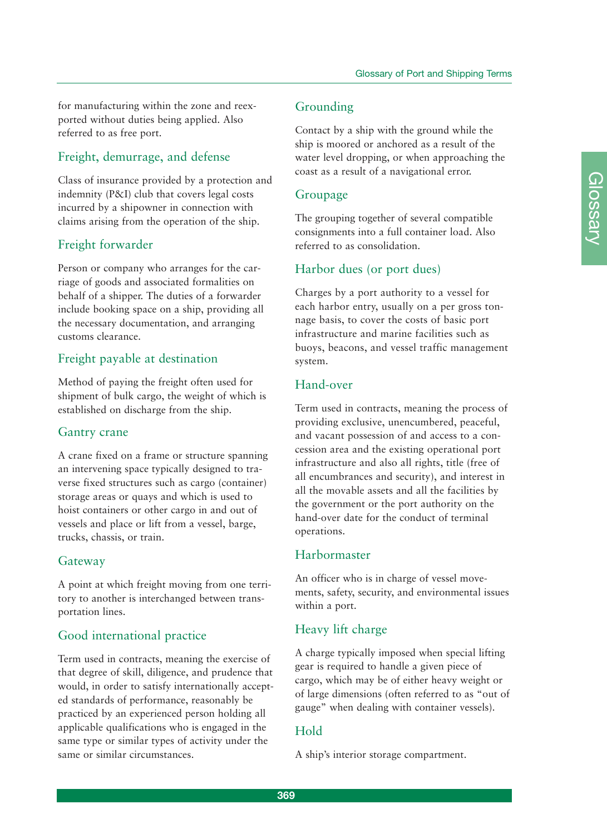for manufacturing within the zone and reexported without duties being applied. Also referred to as free port.

# Freight, demurrage, and defense

Class of insurance provided by a protection and indemnity (P&I) club that covers legal costs incurred by a shipowner in connection with claims arising from the operation of the ship.

## Freight forwarder

Person or company who arranges for the carriage of goods and associated formalities on behalf of a shipper. The duties of a forwarder include booking space on a ship, providing all the necessary documentation, and arranging customs clearance.

## Freight payable at destination

Method of paying the freight often used for shipment of bulk cargo, the weight of which is established on discharge from the ship.

## Gantry crane

A crane fixed on a frame or structure spanning an intervening space typically designed to traverse fixed structures such as cargo (container) storage areas or quays and which is used to hoist containers or other cargo in and out of vessels and place or lift from a vessel, barge, trucks, chassis, or train.

## Gateway

A point at which freight moving from one territory to another is interchanged between transportation lines.

## Good international practice

Term used in contracts, meaning the exercise of that degree of skill, diligence, and prudence that would, in order to satisfy internationally accepted standards of performance, reasonably be practiced by an experienced person holding all applicable qualifications who is engaged in the same type or similar types of activity under the same or similar circumstances.

## Grounding

Contact by a ship with the ground while the ship is moored or anchored as a result of the water level dropping, or when approaching the coast as a result of a navigational error.

#### Groupage

The grouping together of several compatible consignments into a full container load. Also referred to as consolidation.

## Harbor dues (or port dues)

Charges by a port authority to a vessel for each harbor entry, usually on a per gross tonnage basis, to cover the costs of basic port infrastructure and marine facilities such as buoys, beacons, and vessel traffic management system.

## Hand-over

Term used in contracts, meaning the process of providing exclusive, unencumbered, peaceful, and vacant possession of and access to a concession area and the existing operational port infrastructure and also all rights, title (free of all encumbrances and security), and interest in all the movable assets and all the facilities by the government or the port authority on the hand-over date for the conduct of terminal operations.

#### Harbormaster

An officer who is in charge of vessel movements, safety, security, and environmental issues within a port.

# Heavy lift charge

A charge typically imposed when special lifting gear is required to handle a given piece of cargo, which may be of either heavy weight or of large dimensions (often referred to as "out of gauge" when dealing with container vessels).

## Hold

A ship's interior storage compartment.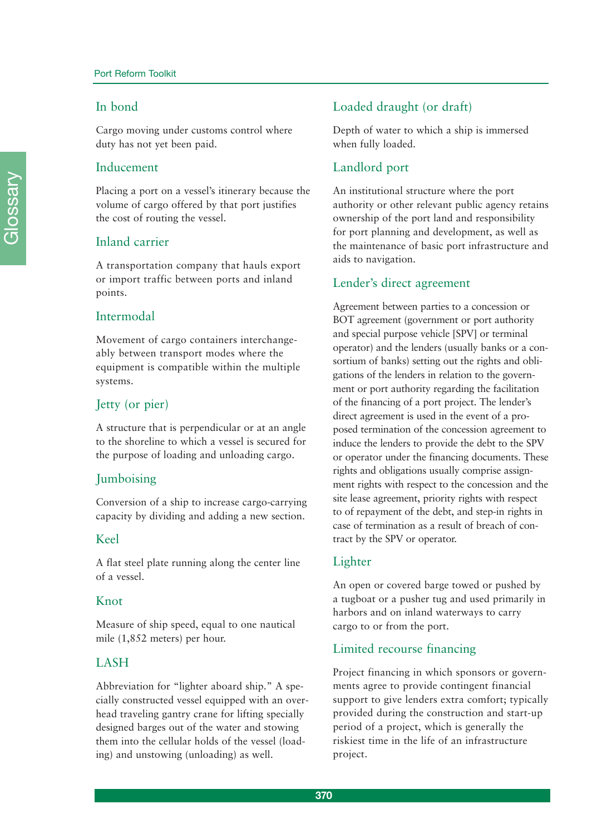#### Port Reform Toolkit

## In bond

Cargo moving under customs control where duty has not yet been paid.

#### Inducement

Placing a port on a vessel's itinerary because the volume of cargo offered by that port justifies the cost of routing the vessel.

#### Inland carrier

A transportation company that hauls export or import traffic between ports and inland points.

## Intermodal

Movement of cargo containers interchangeably between transport modes where the equipment is compatible within the multiple systems.

#### Jetty (or pier)

A structure that is perpendicular or at an angle to the shoreline to which a vessel is secured for the purpose of loading and unloading cargo.

#### **Jumboising**

Conversion of a ship to increase cargo-carrying capacity by dividing and adding a new section.

#### Keel

A flat steel plate running along the center line of a vessel.

#### Knot

Measure of ship speed, equal to one nautical mile (1,852 meters) per hour.

#### LASH

Abbreviation for "lighter aboard ship." A specially constructed vessel equipped with an overhead traveling gantry crane for lifting specially designed barges out of the water and stowing them into the cellular holds of the vessel (loading) and unstowing (unloading) as well.

# Loaded draught (or draft)

Depth of water to which a ship is immersed when fully loaded.

# Landlord port

An institutional structure where the port authority or other relevant public agency retains ownership of the port land and responsibility for port planning and development, as well as the maintenance of basic port infrastructure and aids to navigation.

#### Lender's direct agreement

Agreement between parties to a concession or BOT agreement (government or port authority and special purpose vehicle [SPV] or terminal operator) and the lenders (usually banks or a consortium of banks) setting out the rights and obligations of the lenders in relation to the government or port authority regarding the facilitation of the financing of a port project. The lender's direct agreement is used in the event of a proposed termination of the concession agreement to induce the lenders to provide the debt to the SPV or operator under the financing documents. These rights and obligations usually comprise assignment rights with respect to the concession and the site lease agreement, priority rights with respect to of repayment of the debt, and step-in rights in case of termination as a result of breach of contract by the SPV or operator.

#### Lighter

An open or covered barge towed or pushed by a tugboat or a pusher tug and used primarily in harbors and on inland waterways to carry cargo to or from the port.

## Limited recourse financing

Project financing in which sponsors or governments agree to provide contingent financial support to give lenders extra comfort; typically provided during the construction and start-up period of a project, which is generally the riskiest time in the life of an infrastructure project.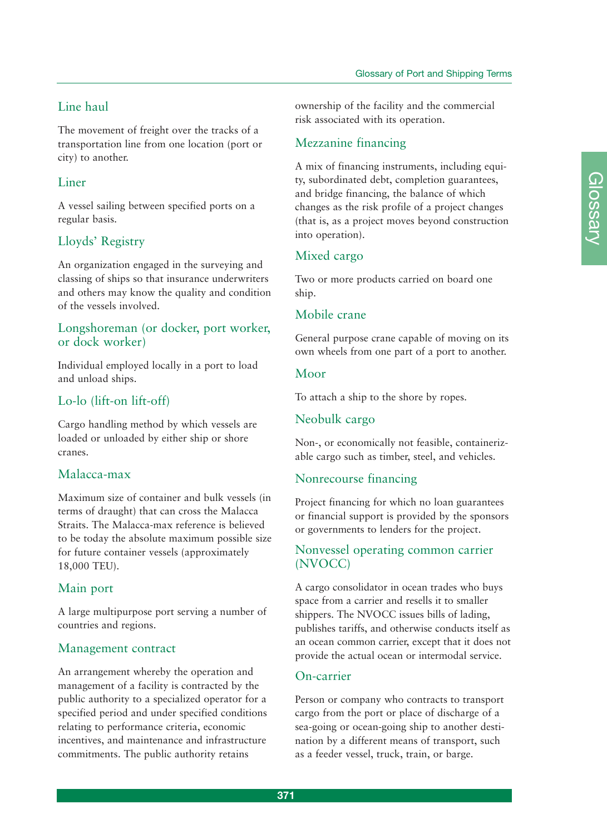# Line haul

The movement of freight over the tracks of a transportation line from one location (port or city) to another.

## Liner

A vessel sailing between specified ports on a regular basis.

# Lloyds' Registry

An organization engaged in the surveying and classing of ships so that insurance underwriters and others may know the quality and condition of the vessels involved.

## Longshoreman (or docker, port worker, or dock worker)

Individual employed locally in a port to load and unload ships.

# Lo-lo (lift-on lift-off)

Cargo handling method by which vessels are loaded or unloaded by either ship or shore cranes.

## Malacca-max

Maximum size of container and bulk vessels (in terms of draught) that can cross the Malacca Straits. The Malacca-max reference is believed to be today the absolute maximum possible size for future container vessels (approximately 18,000 TEU).

## Main port

A large multipurpose port serving a number of countries and regions.

## Management contract

An arrangement whereby the operation and management of a facility is contracted by the public authority to a specialized operator for a specified period and under specified conditions relating to performance criteria, economic incentives, and maintenance and infrastructure commitments. The public authority retains

ownership of the facility and the commercial risk associated with its operation.

## Mezzanine financing

A mix of financing instruments, including equity, subordinated debt, completion guarantees, and bridge financing, the balance of which changes as the risk profile of a project changes (that is, as a project moves beyond construction into operation).

## Mixed cargo

Two or more products carried on board one ship.

# Mobile crane

General purpose crane capable of moving on its own wheels from one part of a port to another.

#### Moor

To attach a ship to the shore by ropes.

## Neobulk cargo

Non-, or economically not feasible, containerizable cargo such as timber, steel, and vehicles.

# Nonrecourse financing

Project financing for which no loan guarantees or financial support is provided by the sponsors or governments to lenders for the project.

#### Nonvessel operating common carrier (NVOCC)

A cargo consolidator in ocean trades who buys space from a carrier and resells it to smaller shippers. The NVOCC issues bills of lading, publishes tariffs, and otherwise conducts itself as an ocean common carrier, except that it does not provide the actual ocean or intermodal service.

## On-carrier

Person or company who contracts to transport cargo from the port or place of discharge of a sea-going or ocean-going ship to another destination by a different means of transport, such as a feeder vessel, truck, train, or barge.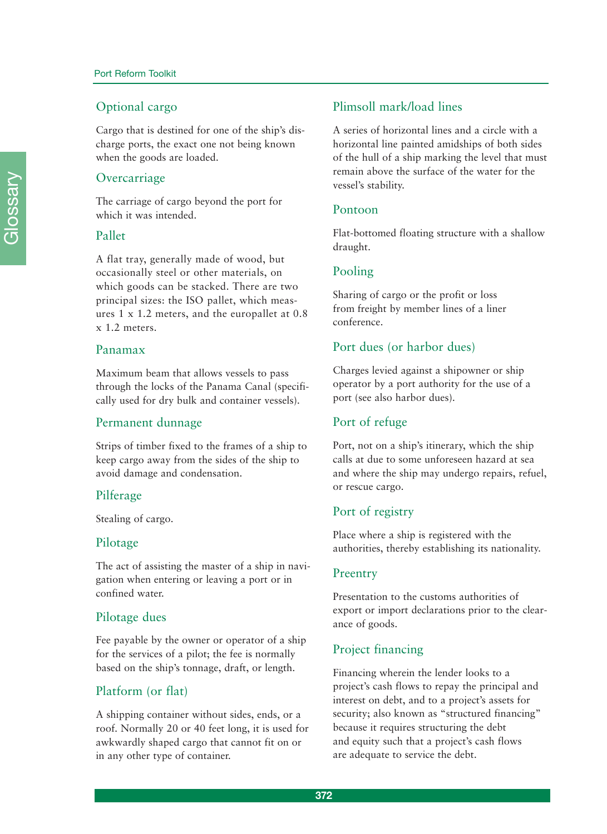# Optional cargo

Cargo that is destined for one of the ship's discharge ports, the exact one not being known when the goods are loaded.

## **Overcarriage**

The carriage of cargo beyond the port for which it was intended.

## Pallet

A flat tray, generally made of wood, but occasionally steel or other materials, on which goods can be stacked. There are two principal sizes: the ISO pallet, which measures 1 x 1.2 meters, and the europallet at 0.8 x 1.2 meters.

#### Panamax

Maximum beam that allows vessels to pass through the locks of the Panama Canal (specifically used for dry bulk and container vessels).

## Permanent dunnage

Strips of timber fixed to the frames of a ship to keep cargo away from the sides of the ship to avoid damage and condensation.

## Pilferage

Stealing of cargo.

## Pilotage

The act of assisting the master of a ship in navigation when entering or leaving a port or in confined water.

# Pilotage dues

Fee payable by the owner or operator of a ship for the services of a pilot; the fee is normally based on the ship's tonnage, draft, or length.

# Platform (or flat)

A shipping container without sides, ends, or a roof. Normally 20 or 40 feet long, it is used for awkwardly shaped cargo that cannot fit on or in any other type of container.

# Plimsoll mark/load lines

A series of horizontal lines and a circle with a horizontal line painted amidships of both sides of the hull of a ship marking the level that must remain above the surface of the water for the vessel's stability.

## Pontoon

Flat-bottomed floating structure with a shallow draught.

# Pooling

Sharing of cargo or the profit or loss from freight by member lines of a liner conference.

# Port dues (or harbor dues)

Charges levied against a shipowner or ship operator by a port authority for the use of a port (see also harbor dues).

## Port of refuge

Port, not on a ship's itinerary, which the ship calls at due to some unforeseen hazard at sea and where the ship may undergo repairs, refuel, or rescue cargo.

# Port of registry

Place where a ship is registered with the authorities, thereby establishing its nationality.

# **Preentry**

Presentation to the customs authorities of export or import declarations prior to the clearance of goods.

# Project financing

Financing wherein the lender looks to a project's cash flows to repay the principal and interest on debt, and to a project's assets for security; also known as "structured financing" because it requires structuring the debt and equity such that a project's cash flows are adequate to service the debt.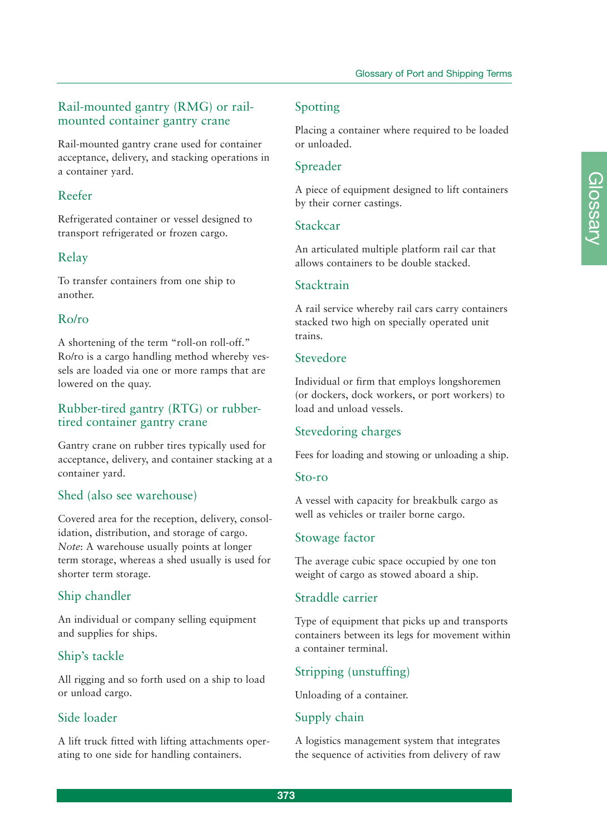# Rail-mounted gantry (RMG) or railmounted container gantry crane

Rail-mounted gantry crane used for container acceptance, delivery, and stacking operations in a container yard.

#### Reefer

Refrigerated container or vessel designed to transport refrigerated or frozen cargo.

## Relay

To transfer containers from one ship to another.

#### Ro/ro

A shortening of the term "roll-on roll-off." Ro/ro is a cargo handling method whereby vessels are loaded via one or more ramps that are lowered on the quay.

## Rubber-tired gantry (RTG) or rubbertired container gantry crane

Gantry crane on rubber tires typically used for acceptance, delivery, and container stacking at a container yard.

## Shed (also see warehouse)

Covered area for the reception, delivery, consolidation, distribution, and storage of cargo. *Note*: A warehouse usually points at longer term storage, whereas a shed usually is used for shorter term storage.

## Ship chandler

An individual or company selling equipment and supplies for ships.

## Ship's tackle

All rigging and so forth used on a ship to load or unload cargo.

# Side loader

A lift truck fitted with lifting attachments operating to one side for handling containers.

# Spotting

Placing a container where required to be loaded or unloaded.

#### Spreader

A piece of equipment designed to lift containers by their corner castings.

#### Stackcar

An articulated multiple platform rail car that allows containers to be double stacked.

## Stacktrain

A rail service whereby rail cars carry containers stacked two high on specially operated unit trains.

#### Stevedore

Individual or firm that employs longshoremen (or dockers, dock workers, or port workers) to load and unload vessels.

#### Stevedoring charges

Fees for loading and stowing or unloading a ship.

#### Sto-ro

A vessel with capacity for breakbulk cargo as well as vehicles or trailer borne cargo.

#### Stowage factor

The average cubic space occupied by one ton weight of cargo as stowed aboard a ship.

#### Straddle carrier

Type of equipment that picks up and transports containers between its legs for movement within a container terminal.

# Stripping (unstuffing)

Unloading of a container.

## Supply chain

A logistics management system that integrates the sequence of activities from delivery of raw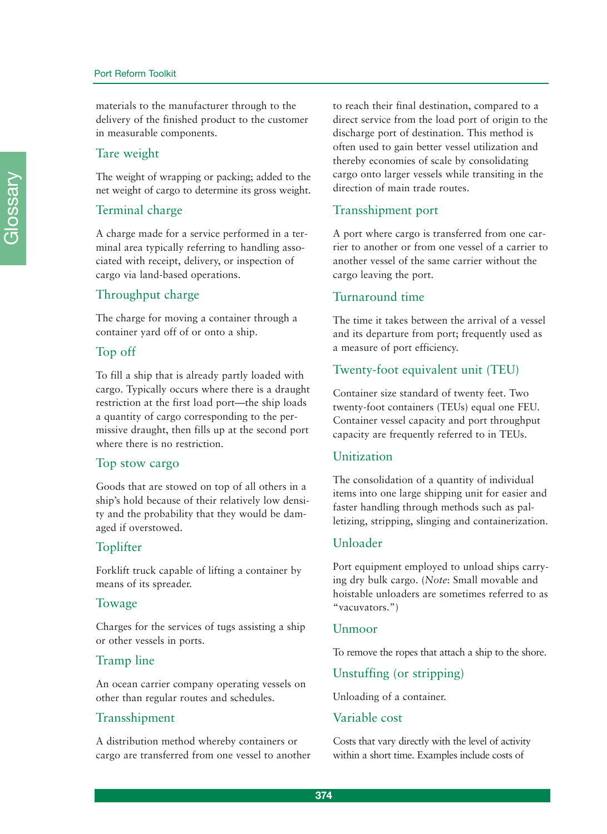materials to the manufacturer through to the delivery of the finished product to the customer in measurable components.

#### Tare weight

The weight of wrapping or packing; added to the net weight of cargo to determine its gross weight.

## Terminal charge

A charge made for a service performed in a terminal area typically referring to handling associated with receipt, delivery, or inspection of cargo via land-based operations.

## Throughput charge

The charge for moving a container through a container yard off of or onto a ship.

## Top off

To fill a ship that is already partly loaded with cargo. Typically occurs where there is a draught restriction at the first load port—the ship loads a quantity of cargo corresponding to the permissive draught, then fills up at the second port where there is no restriction.

#### Top stow cargo

Goods that are stowed on top of all others in a ship's hold because of their relatively low density and the probability that they would be damaged if overstowed.

## Toplifter

Forklift truck capable of lifting a container by means of its spreader.

#### Towage

Charges for the services of tugs assisting a ship or other vessels in ports.

## Tramp line

An ocean carrier company operating vessels on other than regular routes and schedules.

## Transshipment

A distribution method whereby containers or cargo are transferred from one vessel to another to reach their final destination, compared to a direct service from the load port of origin to the discharge port of destination. This method is often used to gain better vessel utilization and thereby economies of scale by consolidating cargo onto larger vessels while transiting in the direction of main trade routes.

## Transshipment port

A port where cargo is transferred from one carrier to another or from one vessel of a carrier to another vessel of the same carrier without the cargo leaving the port.

## Turnaround time

The time it takes between the arrival of a vessel and its departure from port; frequently used as a measure of port efficiency.

#### Twenty-foot equivalent unit (TEU)

Container size standard of twenty feet. Two twenty-foot containers (TEUs) equal one FEU. Container vessel capacity and port throughput capacity are frequently referred to in TEUs.

#### Unitization

The consolidation of a quantity of individual items into one large shipping unit for easier and faster handling through methods such as palletizing, stripping, slinging and containerization.

#### Unloader

Port equipment employed to unload ships carrying dry bulk cargo. (*Note*: Small movable and hoistable unloaders are sometimes referred to as "vacuvators.")

#### Unmoor

To remove the ropes that attach a ship to the shore.

## Unstuffing (or stripping)

Unloading of a container.

#### Variable cost

Costs that vary directly with the level of activity within a short time. Examples include costs of